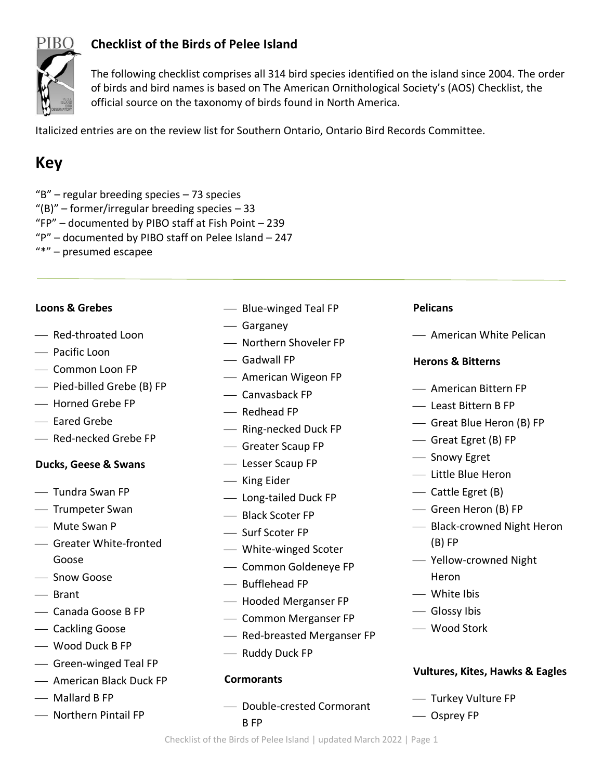

## **Checklist of the Birds of Pelee Island**

The following checklist comprises all 314 bird species identified on the island since 2004. The order of birds and bird names is based on The American Ornithological Society's (AOS) Checklist, the official source on the taxonomy of birds found in North America.

Italicized entries are on the review list for Southern Ontario, Ontario Bird Records Committee.

# **Key**

 $B''$  – regular breeding species – 73 species  $^{\prime\prime}$ (B)" – former/irregular breeding species – 33 "FP" – documented by PIBO staff at Fish Point – 239 "P" – documented by PIBO staff on Pelee Island – 247

"\*" – presumed escapee

#### **Loons & Grebes**

- Red-throated Loon
- ⎯ Pacific Loon
- Common Loon FP
- ⎯ Pied-billed Grebe (B) FP
- Horned Grebe FP
- $-$  Eared Grebe
- ⎯ Red-necked Grebe FP

#### **Ducks, Geese & Swans**

- $\overline{\phantom{a}}$  Tundra Swan FP
- ⎯ Trumpeter Swan
- Mute Swan P
- ⎯ Greater White-fronted Goose
- ⎯ Snow Goose
- $-$  Brant
- ⎯ Canada Goose B FP
- ⎯ Cackling Goose
- ⎯ Wood Duck B FP
- ⎯ Green-winged Teal FP
- ⎯ American Black Duck FP
- $\equiv$  Mallard B FP
- Northern Pintail FP
- ⎯ Blue-winged Teal FP
- Garganey
- ⎯ Northern Shoveler FP
- $-$  Gadwall FP
- American Wigeon FP
- Canvasback FP
- Redhead FP
- ⎯ Ring-necked Duck FP
- ⎯ Greater Scaup FP
- ⎯ Lesser Scaup FP
- King Eider
- Long-tailed Duck FP
- Black Scoter FP
- Surf Scoter FP
- ⎯ White-winged Scoter
- ⎯ Common Goldeneye FP
- Bufflehead FP
- ⎯ Hooded Merganser FP
- ⎯ Common Merganser FP
- ⎯ Red-breasted Merganser FP
- Ruddy Duck FP

#### **Cormorants**

⎯ Double-crested Cormorant B FP

#### **Pelicans**

- American White Pelican

## **Herons & Bitterns**

- ⎯ American Bittern FP
- ⎯ Least Bittern B FP
- ⎯ Great Blue Heron (B) FP
- ⎯ Great Egret (B) FP
- Snowy Egret
- ⎯ Little Blue Heron
- Cattle Egret (B)
- Green Heron (B) FP
- ⎯ Black-crowned Night Heron (B) FP
- ⎯ Yellow-crowned Night Heron
- White Ibis
- Glossy Ibis
- ⎯ Wood Stork

## **Vultures, Kites, Hawks & Eagles**

- ⎯ Turkey Vulture FP
- ⎯ Osprey FP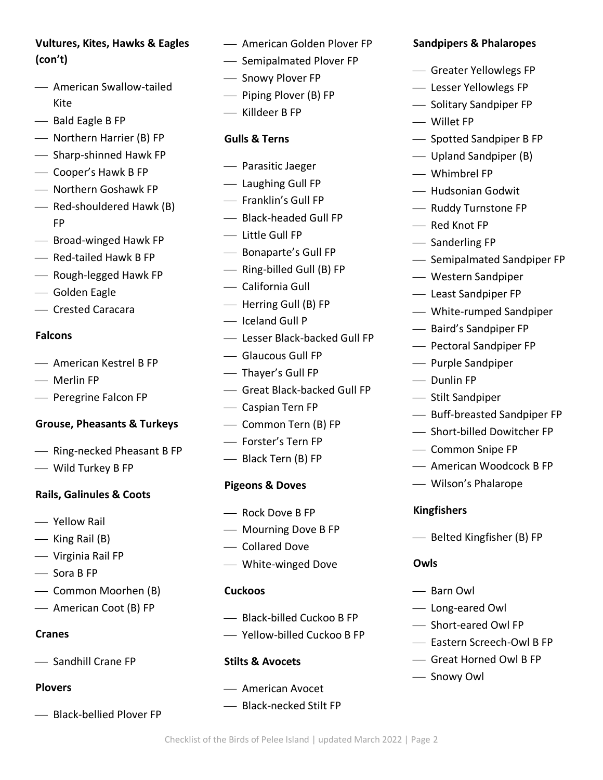# **Vultures, Kites, Hawks & Eagles (con't)**

- American Swallow-tailed Kite
- Bald Eagle B FP
- ⎯ Northern Harrier (B) FP
- Sharp-shinned Hawk FP
- ⎯ Cooper's Hawk B FP
- ⎯ Northern Goshawk FP
- Red-shouldered Hawk (B) FP
- ⎯ Broad-winged Hawk FP
- Red-tailed Hawk B FP
- ⎯ Rough-legged Hawk FP
- ⎯ Golden Eagle
- ⎯ Crested Caracara

#### **Falcons**

- American Kestrel B FP
- Merlin FP
- Peregrine Falcon FP

#### **Grouse, Pheasants & Turkeys**

- Ring-necked Pheasant B FP
- ⎯ Wild Turkey B FP

#### **Rails, Galinules & Coots**

- ⎯ Yellow Rail
- $-$  King Rail (B)
- ⎯ Virginia Rail FP
- $\equiv$  Sora B FP
- Common Moorhen (B)
- American Coot (B) FP

#### **Cranes**

- Sandhill Crane FP

#### **Plovers**

- Black-bellied Plover FP

- $-$  American Golden Plover FP
- Semipalmated Plover FP
- $\overline{\phantom{a}}$  Snowy Plover FP
- ⎯ Piping Plover (B) FP
- ⎯ Killdeer B FP

#### **Gulls & Terns**

- ⎯ Parasitic Jaeger
- ⎯ Laughing Gull FP
- ⎯ Franklin's Gull FP
- Black-headed Gull FP
- ⎯ Little Gull FP
- ⎯ Bonaparte's Gull FP
- ⎯ Ring-billed Gull (B) FP
- ⎯ California Gull
- Herring Gull (B) FP
- Iceland Gull P
- ⎯ Lesser Black-backed Gull FP
- ⎯ Glaucous Gull FP
- ⎯ Thayer's Gull FP
- ⎯ Great Black-backed Gull FP
- ⎯ Caspian Tern FP
- ⎯ Common Tern (B) FP
- ⎯ Forster's Tern FP
- Black Tern (B) FP

#### **Pigeons & Doves**

- $\equiv$  Rock Dove B FP
- ⎯ Mourning Dove B FP
- Collared Dove
- ⎯ White-winged Dove

#### **Cuckoos**

- $-$  Black-billed Cuckoo B FP
- ⎯ Yellow-billed Cuckoo B FP

#### **Stilts & Avocets**

- American Avocet
- ⎯ Black-necked Stilt FP

Checklist of the Birds of Pelee Island | updated March 2022 | Page 2

## **Sandpipers & Phalaropes**

- ⎯ Greater Yellowlegs FP
- ⎯ Lesser Yellowlegs FP
- ⎯ Solitary Sandpiper FP
- Willet FP
- ⎯ Spotted Sandpiper B FP
- Upland Sandpiper (B)
- Whimbrel FP
- ⎯ Hudsonian Godwit
- ⎯ Ruddy Turnstone FP
- Red Knot FP
- $\overline{\phantom{a}}$  Sanderling FP
- Semipalmated Sandpiper FP
- ⎯ Western Sandpiper
- ⎯ Least Sandpiper FP
- ⎯ White-rumped Sandpiper
- ⎯ Baird's Sandpiper FP
- ⎯ Pectoral Sandpiper FP
- Purple Sandpiper
- Dunlin FP
- ⎯ Stilt Sandpiper
- ⎯ Buff-breasted Sandpiper FP
- ⎯ Short-billed Dowitcher FP
- ⎯ Common Snipe FP
- American Woodcock B FP
- ⎯ Wilson's Phalarope

#### **Kingfishers**

- Belted Kingfisher (B) FP

#### **Owls**

- Barn Owl
- Long-eared Owl

- Snowy Owl

- ⎯ Short-eared Owl FP
- $-$  Eastern Screech-Owl B FP
- ⎯ Great Horned Owl B FP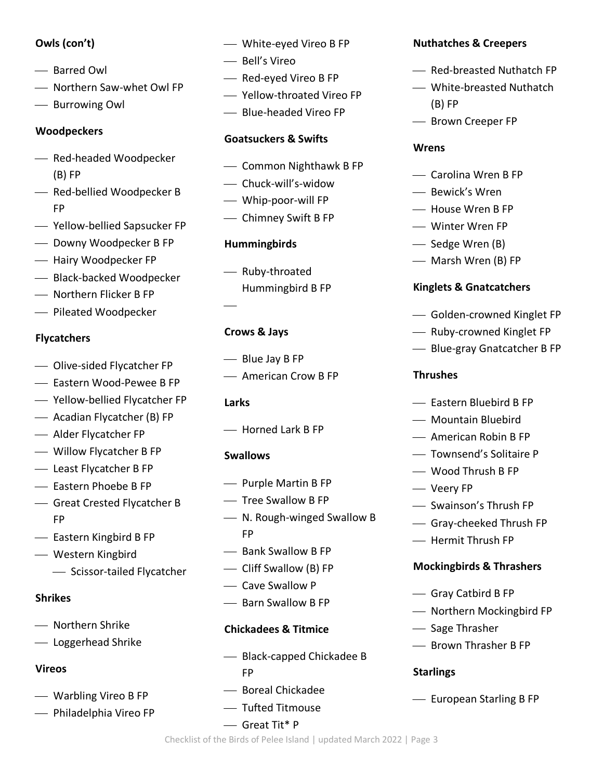## **Owls (con't)**

- Barred Owl
- ⎯ Northern Saw-whet Owl FP
- Burrowing Owl

## **Woodpeckers**

- ⎯ Red-headed Woodpecker (B) FP
- Red-bellied Woodpecker B FP
- ⎯ Yellow-bellied Sapsucker FP
- ⎯ Downy Woodpecker B FP
- ⎯ Hairy Woodpecker FP
- Black-backed Woodpecker
- ⎯ Northern Flicker B FP
- ⎯ Pileated Woodpecker

## **Flycatchers**

- ⎯ Olive-sided Flycatcher FP
- Eastern Wood-Pewee B FP
- Yellow-bellied Flycatcher FP
- Acadian Flycatcher (B) FP
- Alder Flycatcher FP
- ⎯ Willow Flycatcher B FP
- Least Flycatcher B FP
- $-$  Eastern Phoebe B FP
- ⎯ Great Crested Flycatcher B FP
- Eastern Kingbird B FP
- ⎯ Western Kingbird
	- ⎯ Scissor-tailed Flycatcher

## **Shrikes**

- ⎯ Northern Shrike
- ⎯ Loggerhead Shrike

## **Vireos**

- ⎯ Warbling Vireo B FP
- Philadelphia Vireo FP
- White-eyed Vireo B FP
- ⎯ Bell's Vireo
- $-$  Red-eyed Vireo B FP
- ⎯ Yellow-throated Vireo FP
- ⎯ Blue-headed Vireo FP

## **Goatsuckers & Swifts**

- ⎯ Common Nighthawk B FP
- Chuck-will's-widow
- ⎯ Whip-poor-will FP
- ⎯ Chimney Swift B FP

## **Hummingbirds**

- Ruby-throated Hummingbird B FP

## **Crows & Jays**

- $-$  Blue Jay B FP
- $-$  American Crow B FP

## **Larks**

⎯

⎯ Horned Lark B FP

## **Swallows**

- Purple Martin B FP
- ⎯ Tree Swallow B FP
- ⎯ N. Rough-winged Swallow B FP
- $-$  Bank Swallow B FP
- ⎯ Cliff Swallow (B) FP
- $\equiv$  Cave Swallow P
- Barn Swallow B FP

## **Chickadees & Titmice**

- Black-capped Chickadee B FP
- ⎯ Boreal Chickadee
- ⎯ Tufted Titmouse

⎯ Great Tit\* P

## **Nuthatches & Creepers**

- Red-breasted Nuthatch FP
- ⎯ White-breasted Nuthatch (B) FP
- Brown Creeper FP

## **Wrens**

- ⎯ Carolina Wren B FP
- Bewick's Wren
- House Wren B FP
- ⎯ Winter Wren FP
- Sedge Wren (B)
- Marsh Wren (B) FP

## **Kinglets & Gnatcatchers**

- ⎯ Golden-crowned Kinglet FP
- Ruby-crowned Kinglet FP
- ⎯ Blue-gray Gnatcatcher B FP

## **Thrushes**

- Eastern Bluebird B FP
- ⎯ Mountain Bluebird
- $\overline{\phantom{a}}$  American Robin B FP
- ⎯ Townsend's Solitaire P
- ⎯ Wood Thrush B FP
- Veery FP
- ⎯ Swainson's Thrush FP
- ⎯ Gray-cheeked Thrush FP
- ⎯ Hermit Thrush FP

## **Mockingbirds & Thrashers**

- Gray Catbird B FP
- ⎯ Northern Mockingbird FP
- Sage Thrasher
- Brown Thrasher B FP

## **Starlings**

- European Starling B FP